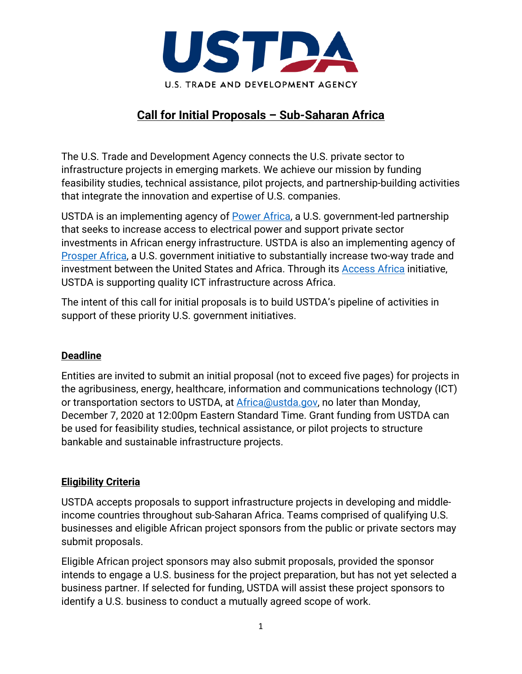

# **Call for Initial Proposals – Sub-Saharan Africa**

The U.S. Trade and Development Agency connects the U.S. private sector to infrastructure projects in emerging markets. We achieve our mission by funding feasibility studies, technical assistance, pilot projects, and partnership-building activities that integrate the innovation and expertise of U.S. companies.

USTDA is an implementing agency of [Power Africa,](https://www.usaid.gov/powerafrica) a U.S. government-led partnership that seeks to increase access to electrical power and support private sector investments in African energy infrastructure. USTDA is also an implementing agency of [Prosper Africa,](https://prosperafrica.dfc.gov/) a U.S. government initiative to substantially increase two-way trade and investment between the United States and Africa. Through its [Access Africa](https://ustda.gov/initiatives/access-africa/) initiative, USTDA is supporting quality ICT infrastructure across Africa.

The intent of this call for initial proposals is to build USTDA's pipeline of activities in support of these priority U.S. government initiatives.

### **Deadline**

Entities are invited to submit an initial proposal (not to exceed five pages) for projects in the agribusiness, energy, healthcare, information and communications technology (ICT) or transportation sectors to USTDA, at [Africa@ustda.gov,](mailto:Africa@ustda.gov) no later than Monday, December 7, 2020 at 12:00pm Eastern Standard Time. Grant funding from USTDA can be used for feasibility studies, technical assistance, or pilot projects to structure bankable and sustainable infrastructure projects.

## **Eligibility Criteria**

USTDA accepts proposals to support infrastructure projects in developing and middleincome countries throughout sub-Saharan Africa. Teams comprised of qualifying U.S. businesses and eligible African project sponsors from the public or private sectors may submit proposals.

Eligible African project sponsors may also submit proposals, provided the sponsor intends to engage a U.S. business for the project preparation, but has not yet selected a business partner. If selected for funding, USTDA will assist these project sponsors to identify a U.S. business to conduct a mutually agreed scope of work.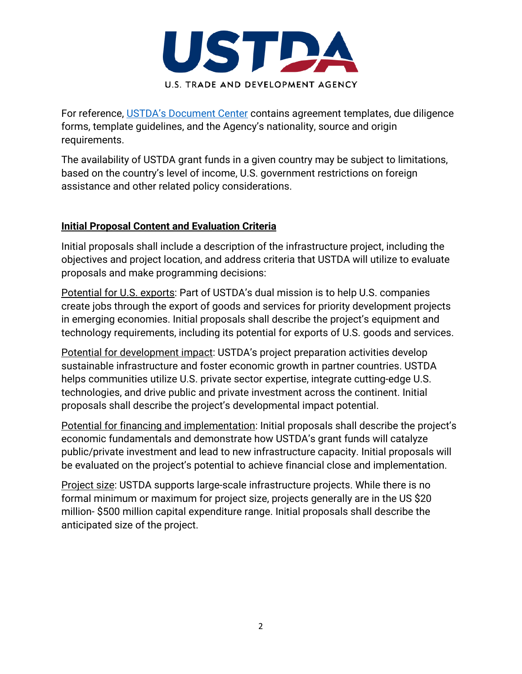

For reference, [USTDA's Document Center](https://ustda.gov/work/propose-a-project/) contains agreement templates, due diligence forms, template guidelines, and the Agency's nationality, source and origin requirements.

The availability of USTDA grant funds in a given country may be subject to limitations, based on the country's level of income, U.S. government restrictions on foreign assistance and other related policy considerations.

## **Initial Proposal Content and Evaluation Criteria**

Initial proposals shall include a description of the infrastructure project, including the objectives and project location, and address criteria that USTDA will utilize to evaluate proposals and make programming decisions:

Potential for U.S. exports: Part of USTDA's dual mission is to help U.S. companies create jobs through the export of goods and services for priority development projects in emerging economies. Initial proposals shall describe the project's equipment and technology requirements, including its potential for exports of U.S. goods and services.

Potential for development impact: USTDA's project preparation activities develop sustainable infrastructure and foster economic growth in partner countries. USTDA helps communities utilize U.S. private sector expertise, integrate cutting-edge U.S. technologies, and drive public and private investment across the continent. Initial proposals shall describe the project's developmental impact potential.

Potential for financing and implementation: Initial proposals shall describe the project's economic fundamentals and demonstrate how USTDA's grant funds will catalyze public/private investment and lead to new infrastructure capacity. Initial proposals will be evaluated on the project's potential to achieve financial close and implementation.

Project size: USTDA supports large-scale infrastructure projects. While there is no formal minimum or maximum for project size, projects generally are in the US \$20 million- \$500 million capital expenditure range. Initial proposals shall describe the anticipated size of the project.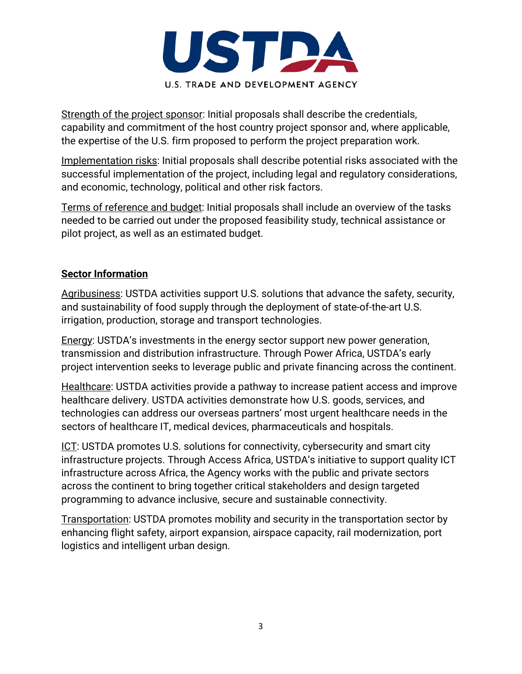

Strength of the project sponsor: Initial proposals shall describe the credentials, capability and commitment of the host country project sponsor and, where applicable, the expertise of the U.S. firm proposed to perform the project preparation work.

Implementation risks: Initial proposals shall describe potential risks associated with the successful implementation of the project, including legal and regulatory considerations, and economic, technology, political and other risk factors.

Terms of reference and budget: Initial proposals shall include an overview of the tasks needed to be carried out under the proposed feasibility study, technical assistance or pilot project, as well as an estimated budget.

### **Sector Information**

Agribusiness: USTDA activities support U.S. solutions that advance the safety, security, and sustainability of food supply through the deployment of state-of-the-art U.S. irrigation, production, storage and transport technologies.

Energy: USTDA's investments in the energy sector support new power generation, transmission and distribution infrastructure. Through Power Africa, USTDA's early project intervention seeks to leverage public and private financing across the continent.

Healthcare: USTDA activities provide a pathway to increase patient access and improve healthcare delivery. USTDA activities demonstrate how U.S. goods, services, and technologies can address our overseas partners' most urgent healthcare needs in the sectors of healthcare IT, medical devices, pharmaceuticals and hospitals.

ICT: USTDA promotes U.S. solutions for connectivity, cybersecurity and smart city infrastructure projects. Through Access Africa, USTDA's initiative to support quality ICT infrastructure across Africa, the Agency works with the public and private sectors across the continent to bring together critical stakeholders and design targeted programming to advance inclusive, secure and sustainable connectivity.

Transportation: USTDA promotes mobility and security in the transportation sector by enhancing flight safety, airport expansion, airspace capacity, rail modernization, port logistics and intelligent urban design.